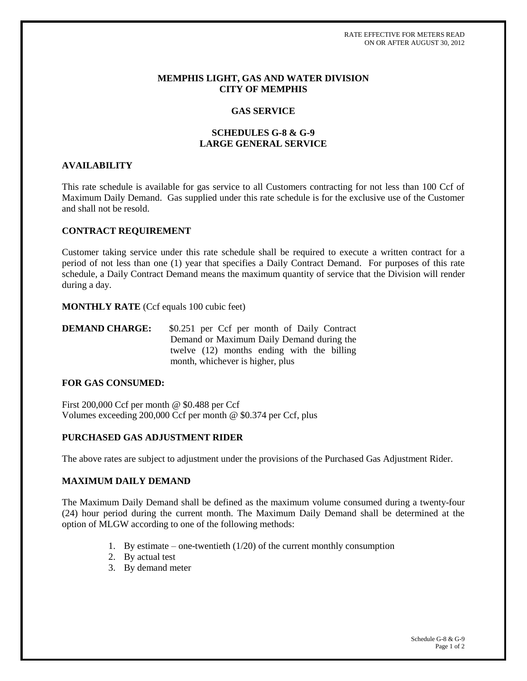#### **MEMPHIS LIGHT, GAS AND WATER DIVISION CITY OF MEMPHIS**

## **GAS SERVICE**

# **SCHEDULES G-8 & G-9 LARGE GENERAL SERVICE**

## **AVAILABILITY**

This rate schedule is available for gas service to all Customers contracting for not less than 100 Ccf of Maximum Daily Demand. Gas supplied under this rate schedule is for the exclusive use of the Customer and shall not be resold.

#### **CONTRACT REQUIREMENT**

Customer taking service under this rate schedule shall be required to execute a written contract for a period of not less than one (1) year that specifies a Daily Contract Demand. For purposes of this rate schedule, a Daily Contract Demand means the maximum quantity of service that the Division will render during a day.

**MONTHLY RATE** (Ccf equals 100 cubic feet)

**DEMAND CHARGE:** \$0.251 per Ccf per month of Daily Contract Demand or Maximum Daily Demand during the twelve (12) months ending with the billing month, whichever is higher, plus

## **FOR GAS CONSUMED:**

First 200,000 Ccf per month @ \$0.488 per Ccf Volumes exceeding 200,000 Ccf per month @ \$0.374 per Ccf, plus

## **PURCHASED GAS ADJUSTMENT RIDER**

The above rates are subject to adjustment under the provisions of the Purchased Gas Adjustment Rider.

## **MAXIMUM DAILY DEMAND**

The Maximum Daily Demand shall be defined as the maximum volume consumed during a twenty-four (24) hour period during the current month. The Maximum Daily Demand shall be determined at the option of MLGW according to one of the following methods:

- 1. By estimate one-twentieth  $(1/20)$  of the current monthly consumption
- 2. By actual test
- 3. By demand meter